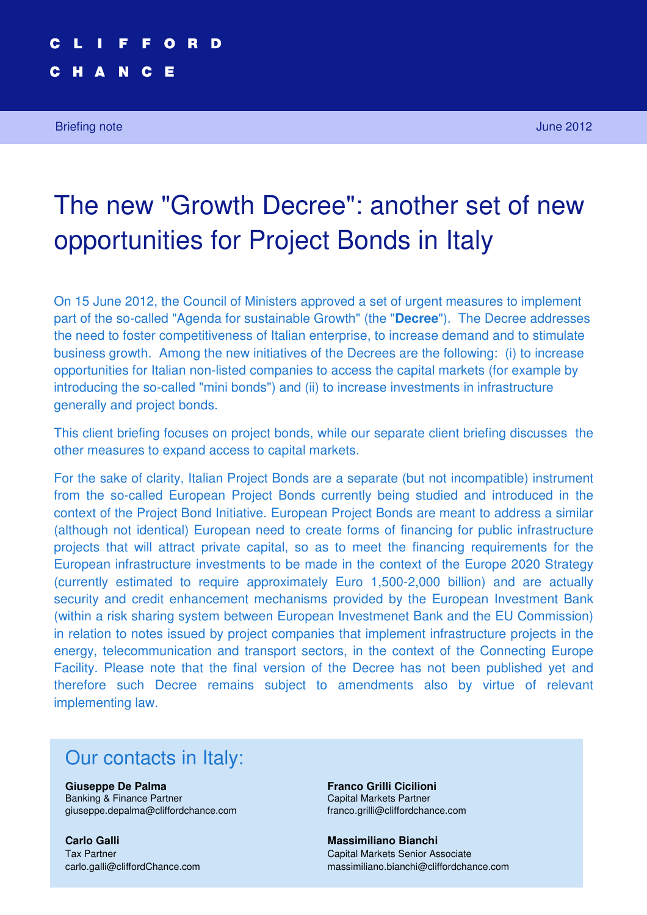# **"Decree for Development" – Project Bonds: a rebirth for investments in infrastructure projects in Italy? 1**

#### C H A N C E

Briefing note June 2012

# The new "Growth Decree": another set of new opportunities for Project Bonds in Italy

On 15 June 2012, the Council of Ministers approved a set of urgent measures to implement part of the so-called "Agenda for sustainable Growth" (the "**Decree**"). The Decree addresses the need to foster competitiveness of Italian enterprise, to increase demand and to stimulate business growth. Among the new initiatives of the Decrees are the following: (i) to increase opportunities for Italian non-listed companies to access the capital markets (for example by introducing the so-called "mini bonds") and (ii) to increase investments in infrastructure generally and project bonds.

This client briefing focuses on project bonds, while our separate client briefing discusses the other measures to expand access to capital markets.

For the sake of clarity, Italian Project Bonds are a separate (but not incompatible) instrument from the so-called European Project Bonds currently being studied and introduced in the context of the Project Bond Initiative. European Project Bonds are meant to address a similar (although not identical) European need to create forms of financing for public infrastructure projects that will attract private capital, so as to meet the financing requirements for the European infrastructure investments to be made in the context of the Europe 2020 Strategy (currently estimated to require approximately Euro 1,500-2,000 billion) and are actually security and credit enhancement mechanisms provided by the European Investment Bank (within a risk sharing system between European Investmenet Bank and the EU Commission) in relation to notes issued by project companies that implement infrastructure projects in the energy, telecommunication and transport sectors, in the context of the Connecting Europe Facility. Please note that the final version of the Decree has not been published yet and therefore such Decree remains subject to amendments also by virtue of relevant implementing law.

# Our contacts in Italy:

**Giuseppe De Palma Franco Grilli Cicilioni** Banking & Finance Partner Capital Markets Partner Capital Markets Partner giuseppe.depalma@cliffordchance.com franco.grilli@cliffordchance.com

**Carlo Galli Massimiliano Bianchi**

Tax Partner Capital Markets Senior Associate carlo.galli@cliffordChance.com massimiliano.bianchi@cliffordchance.com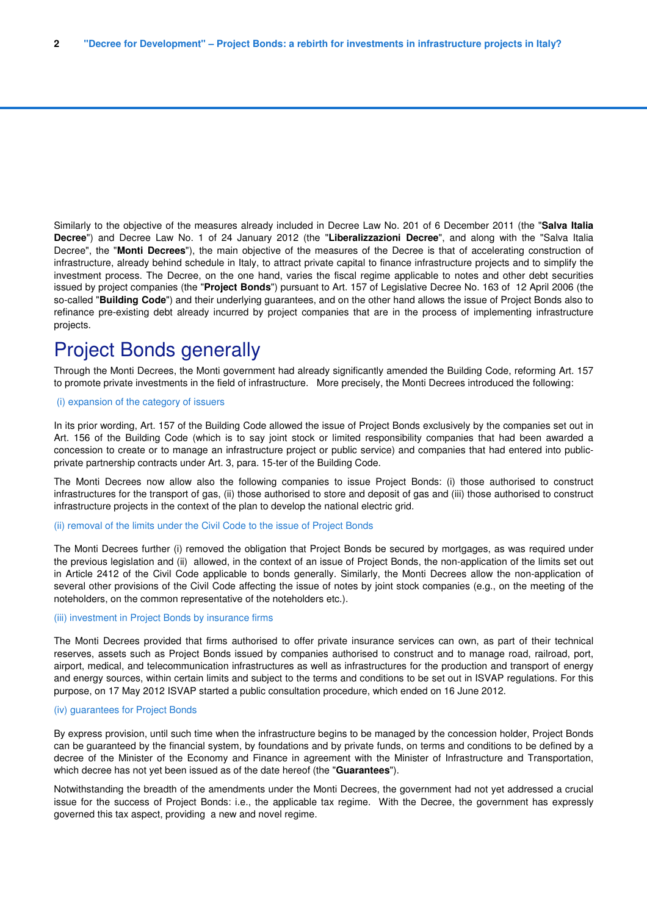Similarly to the objective of the measures already included in Decree Law No. 201 of 6 December 2011 (the "**Salva Italia Decree**") and Decree Law No. 1 of 24 January 2012 (the "**Liberalizzazioni Decree**", and along with the "Salva Italia Decree", the "**Monti Decrees**"), the main objective of the measures of the Decree is that of accelerating construction of infrastructure, already behind schedule in Italy, to attract private capital to finance infrastructure projects and to simplify the investment process. The Decree, on the one hand, varies the fiscal regime applicable to notes and other debt securities issued by project companies (the "**Project Bonds**") pursuant to Art. 157 of Legislative Decree No. 163 of 12 April 2006 (the so-called "**Building Code**") and their underlying guarantees, and on the other hand allows the issue of Project Bonds also to refinance pre-existing debt already incurred by project companies that are in the process of implementing infrastructure projects.

### Project Bonds generally

Through the Monti Decrees, the Monti government had already significantly amended the Building Code, reforming Art. 157 to promote private investments in the field of infrastructure. More precisely, the Monti Decrees introduced the following:

### (i) expansion of the category of issuers

In its prior wording, Art. 157 of the Building Code allowed the issue of Project Bonds exclusively by the companies set out in Art. 156 of the Building Code (which is to say joint stock or limited responsibility companies that had been awarded a concession to create or to manage an infrastructure project or public service) and companies that had entered into publicprivate partnership contracts under Art. 3, para. 15-ter of the Building Code.

The Monti Decrees now allow also the following companies to issue Project Bonds: (i) those authorised to construct infrastructures for the transport of gas, (ii) those authorised to store and deposit of gas and (iii) those authorised to construct infrastructure projects in the context of the plan to develop the national electric grid.

### (ii) removal of the limits under the Civil Code to the issue of Project Bonds

The Monti Decrees further (i) removed the obligation that Project Bonds be secured by mortgages, as was required under the previous legislation and (ii) allowed, in the context of an issue of Project Bonds, the non-application of the limits set out in Article 2412 of the Civil Code applicable to bonds generally. Similarly, the Monti Decrees allow the non-application of several other provisions of the Civil Code affecting the issue of notes by joint stock companies (e.g., on the meeting of the noteholders, on the common representative of the noteholders etc.).

#### (iii) investment in Project Bonds by insurance firms

The Monti Decrees provided that firms authorised to offer private insurance services can own, as part of their technical reserves, assets such as Project Bonds issued by companies authorised to construct and to manage road, railroad, port, airport, medical, and telecommunication infrastructures as well as infrastructures for the production and transport of energy and energy sources, within certain limits and subject to the terms and conditions to be set out in ISVAP regulations. For this purpose, on 17 May 2012 ISVAP started a public consultation procedure, which ended on 16 June 2012.

### (iv) guarantees for Project Bonds

By express provision, until such time when the infrastructure begins to be managed by the concession holder, Project Bonds can be guaranteed by the financial system, by foundations and by private funds, on terms and conditions to be defined by a decree of the Minister of the Economy and Finance in agreement with the Minister of Infrastructure and Transportation, which decree has not yet been issued as of the date hereof (the "**Guarantees**").

Notwithstanding the breadth of the amendments under the Monti Decrees, the government had not yet addressed a crucial issue for the success of Project Bonds: i.e., the applicable tax regime. With the Decree, the government has expressly governed this tax aspect, providing a new and novel regime.